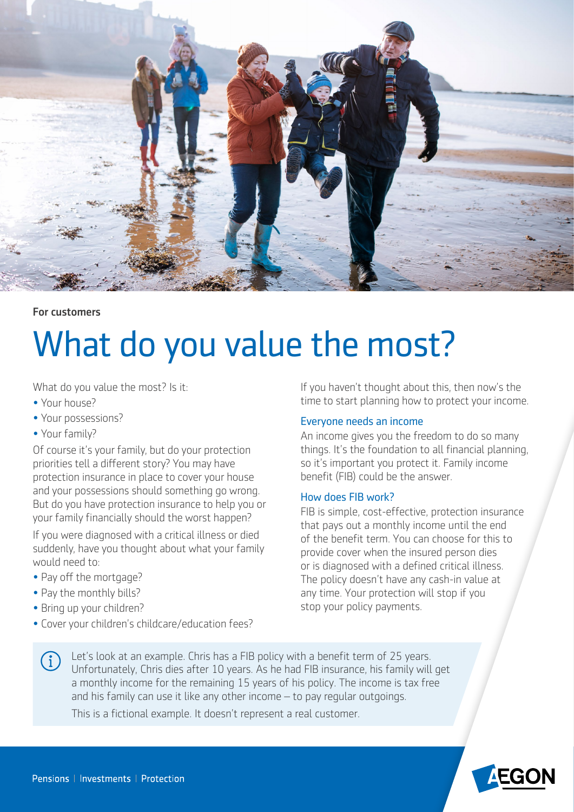

# For customers

# What do you value the most?

What do you value the most? Is it:

- Your house?
- Your possessions?
- Your family?

Of course it's your family, but do your protection priorities tell a diferent story? You may have protection insurance in place to cover your house and your possessions should something go wrong. But do you have protection insurance to help you or your family financially should the worst happen?

If you were diagnosed with a critical illness or died suddenly, have you thought about what your family would need to:

- Pay off the mortgage?
- Pay the monthly bills?
- Bring up your children?
- Cover your children's childcare/education fees?

time to start planning how to protect your income. If you haven't thought about this, then now's the

# Everyone needs an income

An income gives you the freedom to do so many things. It's the foundation to all financial planning, so it's important you protect it. Family income benefit (FIB) could be the answer.

## How does FIB work?

FIB is simple, cost-effective, protection insurance that pays out a monthly income until the end of the benefit term. You can choose for this to provide cover when the insured person dies or is diagnosed with a defined critical illness. The policy doesn't have any cash-in value at any time. Your protection will stop if you stop your policy payments.

Let's look at an example. Chris has a FIB policy with a benefit term of 25 years.  $(i)$ Unfortunately, Chris dies after 10 years. As he had FIB insurance, his family will get a monthly income for the remaining 15 years of his policy. The income is tax free and his family can use it like any other income – to pay regular outgoings.

This is a fictional example. It doesn't represent a real customer.